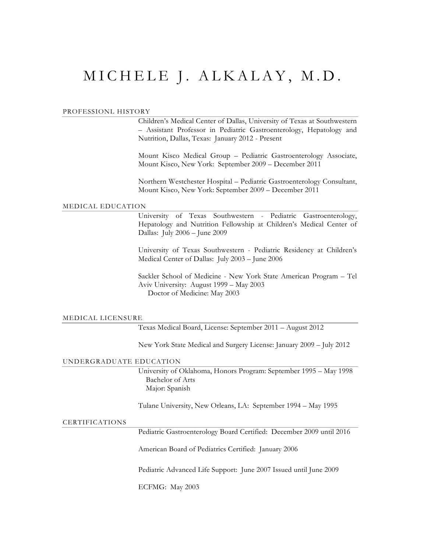# MICHELE J. ALKALAY, M.D.

# PROFESSIONL HISTORY

Children's Medical Center of Dallas, University of Texas at Southwestern – Assistant Professor in Pediatric Gastroenterology, Hepatology and Nutrition, Dallas, Texas: January 2012 - Present

Mount Kisco Medical Group – Pediatric Gastroenterology Associate, Mount Kisco, New York: September 2009 – December 2011

Northern Westchester Hospital – Pediatric Gastroenterology Consultant, Mount Kisco, New York: September 2009 – December 2011

#### MEDICAL EDUCATION

University of Texas Southwestern - Pediatric Gastroenterology, Hepatology and Nutrition Fellowship at Children's Medical Center of Dallas: July 2006 – June 2009

University of Texas Southwestern - Pediatric Residency at Children's Medical Center of Dallas: July 2003 – June 2006

Sackler School of Medicine - New York State American Program – Tel Aviv University: August 1999 – May 2003 Doctor of Medicine: May 2003

#### MEDICAL LICENSURE

Texas Medical Board, License: September 2011 – August 2012

New York State Medical and Surgery License: January 2009 – July 2012

# UNDERGRADUATE EDUCATION

University of Oklahoma, Honors Program: September 1995 – May 1998 Bachelor of Arts Major: Spanish

Tulane University, New Orleans, LA: September 1994 – May 1995

#### CERTIFICATIONS

Pediatric Gastroenterology Board Certified: December 2009 until 2016

American Board of Pediatrics Certified: January 2006

Pediatric Advanced Life Support: June 2007 Issued until June 2009

ECFMG: May 2003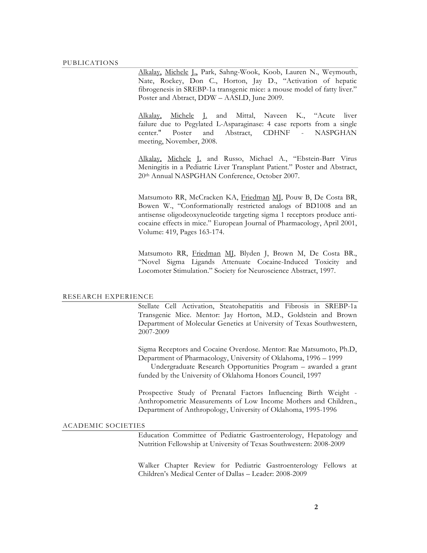Alkalay, Michele J., Park, Sahng-Wook, Koob, Lauren N., Weymouth, Nate, Rockey, Don C., Horton, Jay D., "Activation of hepatic fibrogenesis in SREBP-1a transgenic mice: a mouse model of fatty liver." Poster and Abtract, DDW – AASLD, June 2009.

Alkalay, Michele J. and Mittal, Naveen K., "Acute liver failure due to Pegylated L-Asparaginase: 4 case reports from a single center." Poster and Abstract, CDHNF - NASPGHAN meeting, November, 2008.

Alkalay, Michele J. and Russo, Michael A., "Ebstein-Barr Virus Meningitis in a Pediatric Liver Transplant Patient." Poster and Abstract, 20th Annual NASPGHAN Conference, October 2007.

Matsumoto RR, McCracken KA, Friedman MJ, Pouw B, De Costa BR, Bowen W., "Conformationally restricted analogs of BD1008 and an antisense oligodeoxynucleotide targeting sigma 1 receptors produce anticocaine effects in mice." European Journal of Pharmacology, April 2001, Volume: 419, Pages 163-174.

Matsumoto RR, Friedman MJ, Blyden J, Brown M, De Costa BR., "Novel Sigma Ligands Attenuate Cocaine-Induced Toxicity and Locomoter Stimulation." Society for Neuroscience Abstract, 1997.

### RESEARCH EXPERIENCE

Stellate Cell Activation, Steatohepatitis and Fibrosis in SREBP-1a Transgenic Mice. Mentor: Jay Horton, M.D., Goldstein and Brown Department of Molecular Genetics at University of Texas Southwestern, 2007-2009

Sigma Receptors and Cocaine Overdose. Mentor: Rae Matsumoto, Ph.D, Department of Pharmacology, University of Oklahoma, 1996 – 1999

 Undergraduate Research Opportunities Program – awarded a grant funded by the University of Oklahoma Honors Council, 1997

Prospective Study of Prenatal Factors Influencing Birth Weight - Anthropometric Measurements of Low Income Mothers and Children., Department of Anthropology, University of Oklahoma, 1995-1996

#### ACADEMIC SOCIETIES

Education Committee of Pediatric Gastroenterology, Hepatology and Nutrition Fellowship at University of Texas Southwestern: 2008-2009

Walker Chapter Review for Pediatric Gastroenterology Fellows at Children's Medical Center of Dallas – Leader: 2008-2009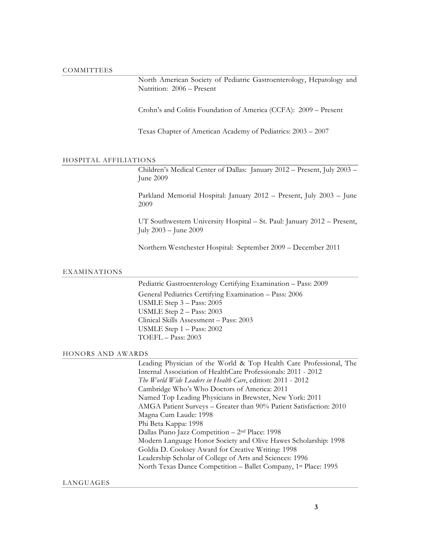#### COMMITTEES

North American Society of Pediatric Gastroenterology, Hepatology and Nutrition: 2006 – Present

Crohn's and Colitis Foundation of America (CCFA): 2009 – Present

Texas Chapter of American Academy of Pediatrics: 2003 – 2007

#### HOSPITAL AFFILIATIONS

Children's Medical Center of Dallas: January 2012 – Present, July 2003 – June 2009

Parkland Memorial Hospital: January 2012 – Present, July 2003 – June 2009

UT Southwestern University Hospital – St. Paul: January 2012 – Present, July 2003 – June 2009

Northern Westchester Hospital: September 2009 – December 2011

#### EXAMINATIONS

Pediatric Gastroenterology Certifying Examination – Pass: 2009

General Pediatrics Certifying Examination – Pass: 2006 USMLE Step 3 – Pass: 2005 USMLE Step 2 – Pass: 2003 Clinical Skills Assessment – Pass: 2003 USMLE Step 1 – Pass: 2002 TOEFL – Pass: 2003

# HONORS AND AWARDS

Leading Physician of the World & Top Health Care Professional, The Internal Association of HealthCare Professionals: 2011 - 2012 *The World Wide Leaders in Health Care*, edition: 2011 - 2012 Cambridge Who's Who Doctors of America: 2011 Named Top Leading Physicians in Brewster, New York: 2011 AMGA Patient Surveys – Greater than 90% Patient Satisfaction: 2010 Magna Cum Laude: 1998 Phi Beta Kappa: 1998 Dallas Piano Jazz Competition – 2nd Place: 1998 Modern Language Honor Society and Olive Hawes Scholarship: 1998 Goldia D. Cooksey Award for Creative Writing: 1998 Leadership Scholar of College of Arts and Sciences: 1996 North Texas Dance Competition – Ballet Company, 1st Place: 1995

# LANGUAGES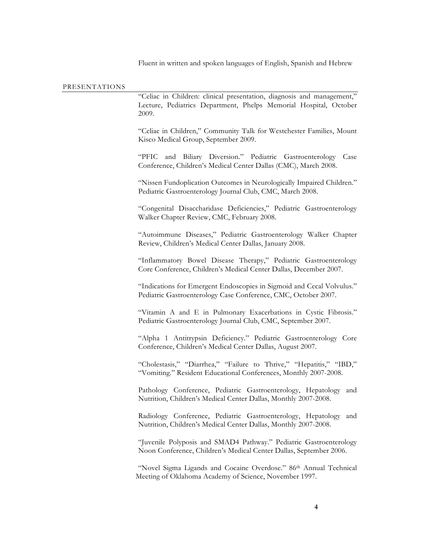Fluent in written and spoken languages of English, Spanish and Hebrew

# PRESENTATIONS

"Celiac in Children: clinical presentation, diagnosis and management," Lecture, Pediatrics Department, Phelps Memorial Hospital, October 2009.

"Celiac in Children," Community Talk for Westchester Families, Mount Kisco Medical Group, September 2009.

"PFIC and Biliary Diversion." Pediatric Gastroenterology Case Conference, Children's Medical Center Dallas (CMC), March 2008.

"Nissen Fundoplication Outcomes in Neurologically Impaired Children." Pediatric Gastroenterology Journal Club, CMC, March 2008.

"Congenital Disaccharidase Deficiencies," Pediatric Gastroenterology Walker Chapter Review, CMC, February 2008.

"Autoimmune Diseases," Pediatric Gastroenterology Walker Chapter Review, Children's Medical Center Dallas, January 2008.

"Inflammatory Bowel Disease Therapy," Pediatric Gastroenterology Core Conference, Children's Medical Center Dallas, December 2007.

"Indications for Emergent Endoscopies in Sigmoid and Cecal Volvulus." Pediatric Gastroenterology Case Conference, CMC, October 2007.

"Vitamin A and E in Pulmonary Exacerbations in Cystic Fibrosis." Pediatric Gastroenterology Journal Club, CMC, September 2007.

"Alpha 1 Antitrypsin Deficiency." Pediatric Gastroenterology Core Conference, Children's Medical Center Dallas, August 2007.

"Cholestasis," "Diarrhea," "Failure to Thrive," "Hepatitis," "IBD," "Vomiting." Resident Educational Conferences, Monthly 2007-2008.

Pathology Conference, Pediatric Gastroenterology, Hepatology and Nutrition, Children's Medical Center Dallas, Monthly 2007-2008.

Radiology Conference, Pediatric Gastroenterology, Hepatology and Nutrition, Children's Medical Center Dallas, Monthly 2007-2008.

"Juvenile Polyposis and SMAD4 Pathway." Pediatric Gastroenterology Noon Conference, Children's Medical Center Dallas, September 2006.

"Novel Sigma Ligands and Cocaine Overdose." 86th Annual Technical Meeting of Oklahoma Academy of Science, November 1997.